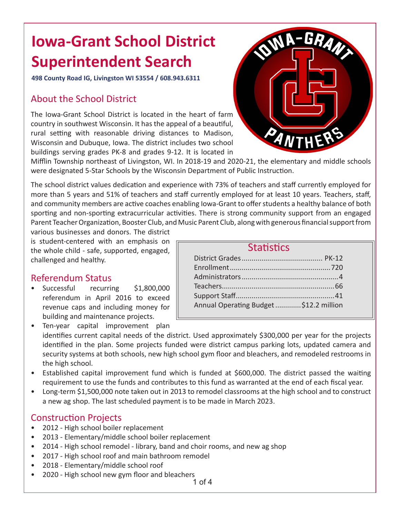## **Iowa-Grant School District Superintendent Search**

**498 County Road IG, Livingston WI 53554 / 608.943.6311**

#### About the School District

The Iowa-Grant School District is located in the heart of farm country in southwest Wisconsin. It has the appeal of a beautiful, rural setting with reasonable driving distances to Madison, Wisconsin and Dubuque, Iowa. The district includes two school buildings serving grades PK-8 and grades 9-12. It is located in



Mifflin Township northeast of Livingston, WI. In 2018-19 and 2020-21, the elementary and middle schools were designated 5-Star Schools by the Wisconsin Department of Public Instruction.

The school district values dedication and experience with 73% of teachers and staff currently employed for more than 5 years and 51% of teachers and staff currently employed for at least 10 years. Teachers, staff, and community members are active coaches enabling Iowa-Grant to offer students a healthy balance of both sporting and non-sporting extracurricular activities. There is strong community support from an engaged Parent Teacher Organization, Booster Club, and Music Parent Club, along with generous financial support from

various businesses and donors. The district is student-centered with an emphasis on the whole child - safe, supported, engaged, challenged and healthy.

#### Referendum Status

• Successful recurring \$1,800,000 referendum in April 2016 to exceed revenue caps and including money for building and maintenance projects.

| <b>Statistics</b>                       |  |
|-----------------------------------------|--|
|                                         |  |
|                                         |  |
|                                         |  |
|                                         |  |
|                                         |  |
| Annual Operating Budget  \$12.2 million |  |

• Ten-year capital improvement plan identifies current capital needs of the district. Used approximately \$300,000 per year for the projects identified in the plan. Some projects funded were district campus parking lots, updated camera and security systems at both schools, new high school gym floor and bleachers, and remodeled restrooms in the high school.

- Established capital improvement fund which is funded at \$600,000. The district passed the waiting requirement to use the funds and contributes to this fund as warranted at the end of each fiscal year.
- Long-term \$1,500,000 note taken out in 2013 to remodel classrooms at the high school and to construct a new ag shop. The last scheduled payment is to be made in March 2023.

### Construction Projects

- 2012 High school boiler replacement
- 2013 Elementary/middle school boiler replacement
- 2014 High school remodel library, band and choir rooms, and new ag shop
- 2017 High school roof and main bathroom remodel
- 2018 Elementary/middle school roof
- 2020 High school new gym floor and bleachers

1 of 4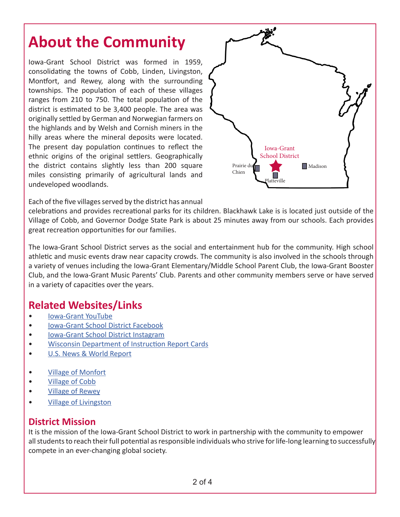### **About the Community**

Iowa-Grant School District was formed in 1959, consolidating the towns of Cobb, Linden, Livingston, Montfort, and Rewey, along with the surrounding townships. The population of each of these villages ranges from 210 to 750. The total population of the district is estimated to be 3,400 people. The area was originally settled by German and Norwegian farmers on the highlands and by Welsh and Cornish miners in the hilly areas where the mineral deposits were located. The present day population continues to reflect the ethnic origins of the original settlers. Geographically the district contains slightly less than 200 square miles consisting primarily of agricultural lands and undeveloped woodlands.



Each of the five villages served by the district has annual

celebrations and provides recreational parks for its children. Blackhawk Lake is is located just outside of the Village of Cobb, and Governor Dodge State Park is about 25 minutes away from our schools. Each provides great recreation opportunities for our families.

The Iowa-Grant School District serves as the social and entertainment hub for the community. High school athletic and music events draw near capacity crowds. The community is also involved in the schools through a variety of venues including the Iowa-Grant Elementary/Middle School Parent Club, the Iowa-Grant Booster Club, and the Iowa-Grant Music Parents' Club. Parents and other community members serve or have served in a variety of capacities over the years.

### **Related Websites/Links**

- [Iowa-Grant YouTube](https://www.youtube.com/channel/UCrvX5RMUxFn97az2FTel48A)
- [Iowa-Grant School District Facebook](https://www.facebook.com/IowaGrantPanthers/)
- [Iowa-Grant School District Instagram](https://www.instagram.com/iowagrantsd/)
- [Wisconsin Department of Instruction Report Cards](https://apps2.dpi.wi.gov/reportcards/home)
- [U.S. News & World Report](https://www.usnews.com/education/k12/wisconsin/districts/iowa-grant-school-district-103163)
- [Village of Monfort](https://www.iowacounty.org/municipality/VillageofMontfort)
- [Village of Cobb](https://villageofcobb.com/)
- [Village of Rewey](https://www.iowacounty.org/municipality/VillageofRewey)
- [Village of Livingston](https://villageoflivingston.com/)

#### **District Mission**

It is the mission of the Iowa-Grant School District to work in partnership with the community to empower all students to reach their full potential as responsible individuals who strive for life-long learning to successfully compete in an ever-changing global society.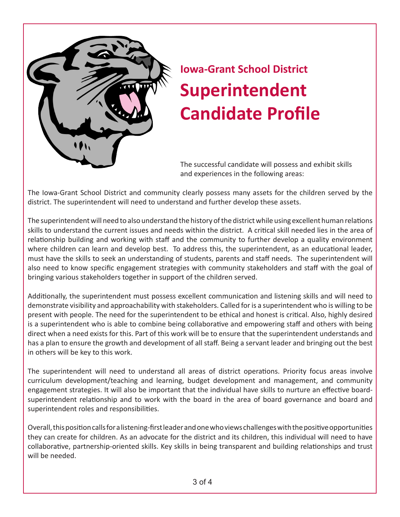

# **Iowa-Grant School District Superintendent Candidate Profile**

The successful candidate will possess and exhibit skills and experiences in the following areas:

The Iowa-Grant School District and community clearly possess many assets for the children served by the district. The superintendent will need to understand and further develop these assets.

The superintendent will need to also understand the history of the district while using excellent human relations skills to understand the current issues and needs within the district. A critical skill needed lies in the area of relationship building and working with staff and the community to further develop a quality environment where children can learn and develop best. To address this, the superintendent, as an educational leader, must have the skills to seek an understanding of students, parents and staff needs. The superintendent will also need to know specific engagement strategies with community stakeholders and staff with the goal of bringing various stakeholders together in support of the children served.

Additionally, the superintendent must possess excellent communication and listening skills and will need to demonstrate visibility and approachability with stakeholders. Called for is a superintendent who is willing to be present with people. The need for the superintendent to be ethical and honest is critical. Also, highly desired is a superintendent who is able to combine being collaborative and empowering staff and others with being direct when a need exists for this. Part of this work will be to ensure that the superintendent understands and has a plan to ensure the growth and development of all staff. Being a servant leader and bringing out the best in others will be key to this work.

The superintendent will need to understand all areas of district operations. Priority focus areas involve curriculum development/teaching and learning, budget development and management, and community engagement strategies. It will also be important that the individual have skills to nurture an effective boardsuperintendent relationship and to work with the board in the area of board governance and board and superintendent roles and responsibilities.

Overall, this position calls for a listening-first leader and one who views challenges with the positive opportunities they can create for children. As an advocate for the district and its children, this individual will need to have collaborative, partnership-oriented skills. Key skills in being transparent and building relationships and trust will be needed.